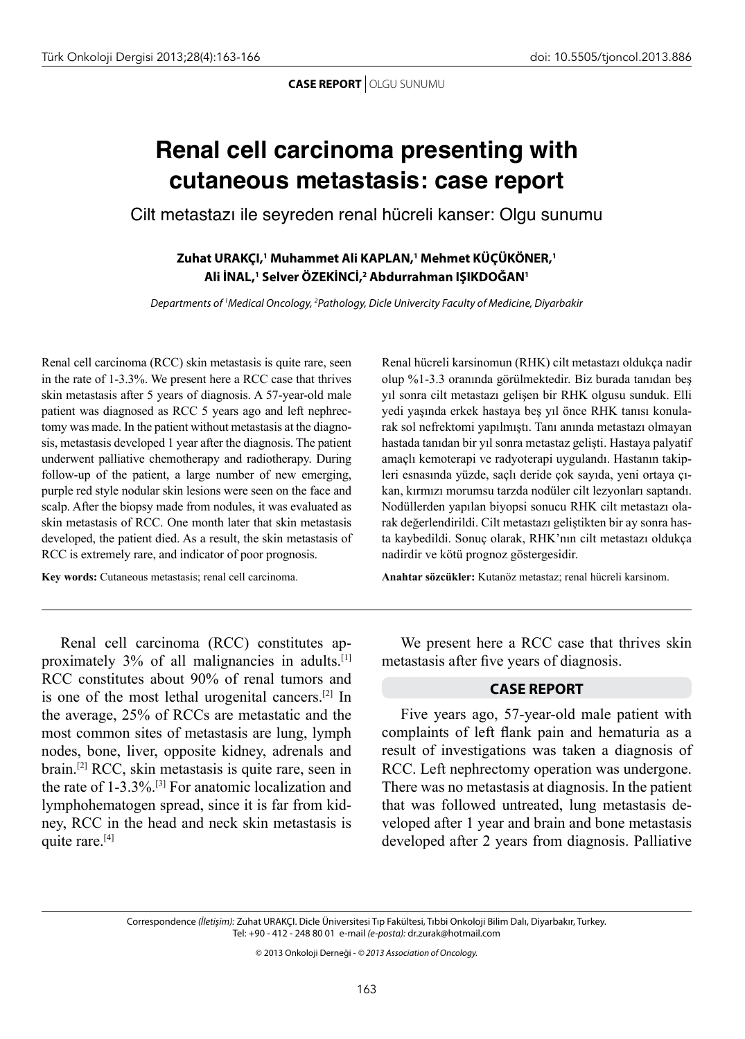**CASE REPORT** OLGU SUNUMU

## **Renal cell carcinoma presenting with cutaneous metastasis: case report**

Cilt metastazı ile seyreden renal hücreli kanser: Olgu sunumu

**Zuhat URAKÇI,1 Muhammet Ali KAPLAN,1 Mehmet KÜÇÜKÖNER,1 Ali İNAL,1 Selver ÖZEKİNCİ,2 Abdurrahman IŞIKDOĞAN1**

*Departments of 1 Medical Oncology, 2 Pathology, Dicle Univercity Faculty of Medicine, Diyarbakir*

Renal cell carcinoma (RCC) skin metastasis is quite rare, seen in the rate of 1-3.3%. We present here a RCC case that thrives skin metastasis after 5 years of diagnosis. A 57-year-old male patient was diagnosed as RCC 5 years ago and left nephrectomy was made. In the patient without metastasis at the diagnosis, metastasis developed 1 year after the diagnosis. The patient underwent palliative chemotherapy and radiotherapy. During follow-up of the patient, a large number of new emerging, purple red style nodular skin lesions were seen on the face and scalp. After the biopsy made from nodules, it was evaluated as skin metastasis of RCC. One month later that skin metastasis developed, the patient died. As a result, the skin metastasis of RCC is extremely rare, and indicator of poor prognosis.

**Key words:** Cutaneous metastasis; renal cell carcinoma.

Renal hücreli karsinomun (RHK) cilt metastazı oldukça nadir olup %1-3.3 oranında görülmektedir. Biz burada tanıdan beş yıl sonra cilt metastazı gelişen bir RHK olgusu sunduk. Elli yedi yaşında erkek hastaya beş yıl önce RHK tanısı konularak sol nefrektomi yapılmıştı. Tanı anında metastazı olmayan hastada tanıdan bir yıl sonra metastaz gelişti. Hastaya palyatif amaçlı kemoterapi ve radyoterapi uygulandı. Hastanın takipleri esnasında yüzde, saçlı deride çok sayıda, yeni ortaya çıkan, kırmızı morumsu tarzda nodüler cilt lezyonları saptandı. Nodüllerden yapılan biyopsi sonucu RHK cilt metastazı olarak değerlendirildi. Cilt metastazı geliştikten bir ay sonra hasta kaybedildi. Sonuç olarak, RHK'nın cilt metastazı oldukça nadirdir ve kötü prognoz göstergesidir.

**Anahtar sözcükler:** Kutanöz metastaz; renal hücreli karsinom.

Renal cell carcinoma (RCC) constitutes approximately 3% of all malignancies in adults.[1] RCC constitutes about 90% of renal tumors and is one of the most lethal urogenital cancers.[2] In the average, 25% of RCCs are metastatic and the most common sites of metastasis are lung, lymph nodes, bone, liver, opposite kidney, adrenals and brain.[2] RCC, skin metastasis is quite rare, seen in the rate of 1-3.3%.[3] For anatomic localization and lymphohematogen spread, since it is far from kidney, RCC in the head and neck skin metastasis is quite rare.[4]

We present here a RCC case that thrives skin metastasis after five years of diagnosis.

## **CASE REPORT**

Five years ago, 57-year-old male patient with complaints of left flank pain and hematuria as a result of investigations was taken a diagnosis of RCC. Left nephrectomy operation was undergone. There was no metastasis at diagnosis. In the patient that was followed untreated, lung metastasis developed after 1 year and brain and bone metastasis developed after 2 years from diagnosis. Palliative

Correspondence *(İletişim):* Zuhat URAKÇI. Dicle Üniversitesi Tıp Fakültesi, Tıbbi Onkoloji Bilim Dalı, Diyarbakır, Turkey. Tel: +90 - 412 - 248 80 01 e-mail *(e-posta):* dr.zurak@hotmail.com

© 2013 Onkoloji Derneği - *© 2013 Association of Oncology.*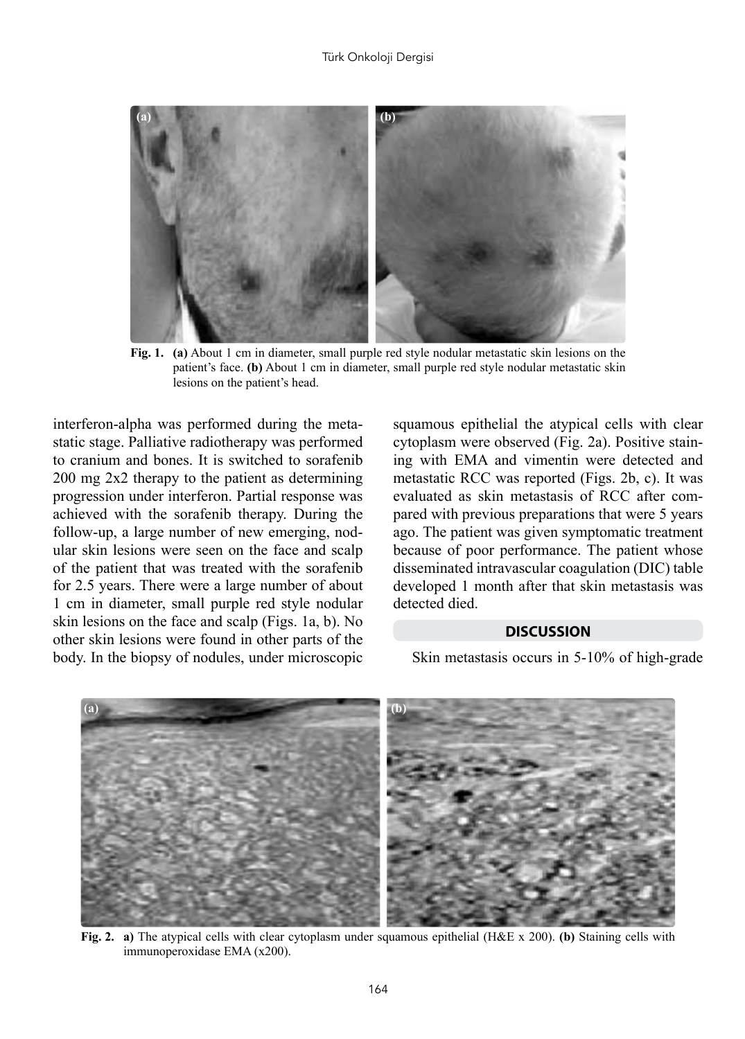

**Fig. 1. (a)** About 1 cm in diameter, small purple red style nodular metastatic skin lesions on the patient's face. **(b)** About 1 cm in diameter, small purple red style nodular metastatic skin lesions on the patient's head.

interferon-alpha was performed during the metastatic stage. Palliative radiotherapy was performed to cranium and bones. It is switched to sorafenib 200 mg 2x2 therapy to the patient as determining progression under interferon. Partial response was achieved with the sorafenib therapy. During the follow-up, a large number of new emerging, nodular skin lesions were seen on the face and scalp of the patient that was treated with the sorafenib for 2.5 years. There were a large number of about 1 cm in diameter, small purple red style nodular skin lesions on the face and scalp (Figs. 1a, b). No other skin lesions were found in other parts of the body. In the biopsy of nodules, under microscopic

squamous epithelial the atypical cells with clear cytoplasm were observed (Fig. 2a). Positive staining with EMA and vimentin were detected and metastatic RCC was reported (Figs. 2b, c). It was evaluated as skin metastasis of RCC after compared with previous preparations that were 5 years ago. The patient was given symptomatic treatment because of poor performance. The patient whose disseminated intravascular coagulation (DIC) table developed 1 month after that skin metastasis was detected died.

## **DISCUSSION**

Skin metastasis occurs in 5-10% of high-grade



**Fig. 2. a)** The atypical cells with clear cytoplasm under squamous epithelial (H&E x 200). **(b)** Staining cells with immunoperoxidase EMA (x200).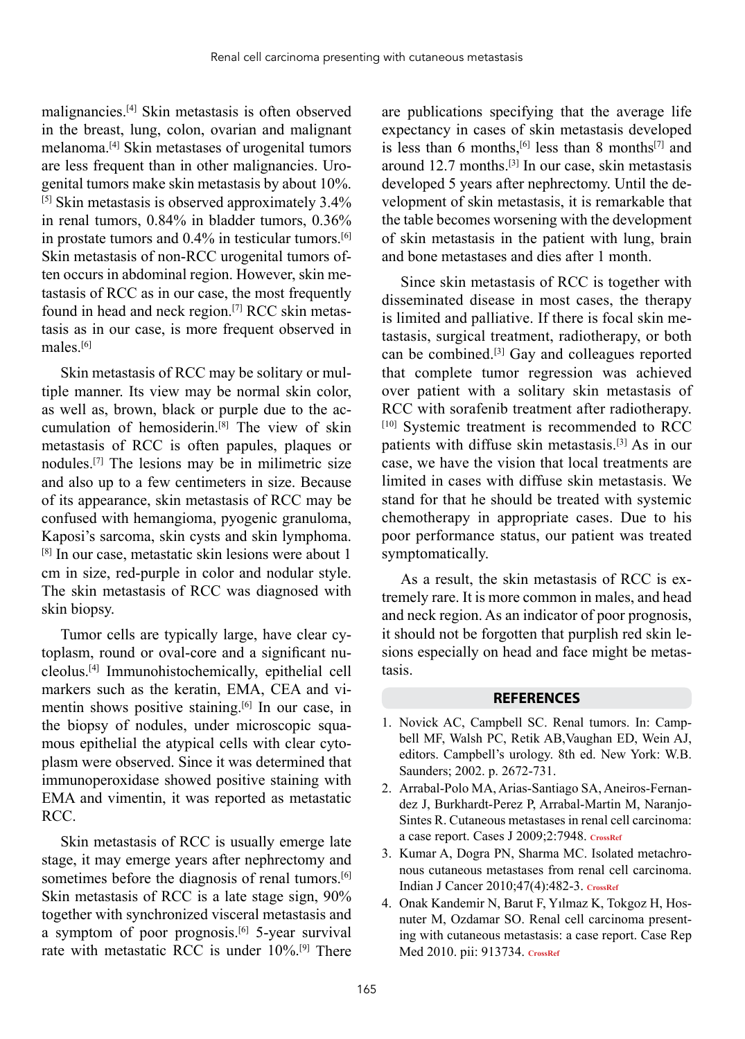malignancies.[4] Skin metastasis is often observed in the breast, lung, colon, ovarian and malignant melanoma.[4] Skin metastases of urogenital tumors are less frequent than in other malignancies. Urogenital tumors make skin metastasis by about 10%. [5] Skin metastasis is observed approximately 3.4% in renal tumors, 0.84% in bladder tumors, 0.36% in prostate tumors and 0.4% in testicular tumors.[6] Skin metastasis of non-RCC urogenital tumors often occurs in abdominal region. However, skin metastasis of RCC as in our case, the most frequently found in head and neck region.[7] RCC skin metastasis as in our case, is more frequent observed in males<sup>[6]</sup>

Skin metastasis of RCC may be solitary or multiple manner. Its view may be normal skin color, as well as, brown, black or purple due to the accumulation of hemosiderin.[8] The view of skin metastasis of RCC is often papules, plaques or nodules.[7] The lesions may be in milimetric size and also up to a few centimeters in size. Because of its appearance, skin metastasis of RCC may be confused with hemangioma, pyogenic granuloma, Kaposi's sarcoma, skin cysts and skin lymphoma. [8] In our case, metastatic skin lesions were about 1 cm in size, red-purple in color and nodular style. The skin metastasis of RCC was diagnosed with skin biopsy.

Tumor cells are typically large, have clear cytoplasm, round or oval-core and a significant nucleolus.[4] Immunohistochemically, epithelial cell markers such as the keratin, EMA, CEA and vimentin shows positive staining.[6] In our case, in the biopsy of nodules, under microscopic squamous epithelial the atypical cells with clear cytoplasm were observed. Since it was determined that immunoperoxidase showed positive staining with EMA and vimentin, it was reported as metastatic RCC.

Skin metastasis of RCC is usually emerge late stage, it may emerge years after nephrectomy and sometimes before the diagnosis of renal tumors.<sup>[6]</sup> Skin metastasis of RCC is a late stage sign, 90% together with synchronized visceral metastasis and a symptom of poor prognosis. $[6]$  5-year survival rate with metastatic RCC is under 10%.[9] There

are publications specifying that the average life expectancy in cases of skin metastasis developed is less than 6 months,<sup>[6]</sup> less than 8 months<sup>[7]</sup> and around 12.7 months.[3] In our case, skin metastasis developed 5 years after nephrectomy. Until the development of skin metastasis, it is remarkable that the table becomes worsening with the development of skin metastasis in the patient with lung, brain and bone metastases and dies after 1 month.

Since skin metastasis of RCC is together with disseminated disease in most cases, the therapy is limited and palliative. If there is focal skin metastasis, surgical treatment, radiotherapy, or both can be combined.[3] Gay and colleagues reported that complete tumor regression was achieved over patient with a solitary skin metastasis of RCC with sorafenib treatment after radiotherapy. [10] Systemic treatment is recommended to RCC patients with diffuse skin metastasis.[3] As in our case, we have the vision that local treatments are limited in cases with diffuse skin metastasis. We stand for that he should be treated with systemic chemotherapy in appropriate cases. Due to his poor performance status, our patient was treated symptomatically.

As a result, the skin metastasis of RCC is extremely rare. It is more common in males, and head and neck region. As an indicator of poor prognosis, it should not be forgotten that purplish red skin lesions especially on head and face might be metastasis.

## **REFERENCES**

- 1. Novick AC, Campbell SC. Renal tumors. In: Campbell MF, Walsh PC, Retik AB,Vaughan ED, Wein AJ, editors. Campbell's urology. 8th ed. New York: W.B. Saunders; 2002. p. 2672-731.
- 2. Arrabal-Polo MA, Arias-Santiago SA, Aneiros-Fernandez J, Burkhardt-Perez P, Arrabal-Martin M, Naranjo-Sintes R. Cutaneous metastases in renal cell carcinoma: a case report. Cases J 2009;2:7948. **CrossRef**
- 3. Kumar A, Dogra PN, Sharma MC. Isolated metachronous cutaneous metastases from renal cell carcinoma. Indian J Cancer 2010;47(4):482-3. **CrossRef**
- 4. Onak Kandemir N, Barut F, Yılmaz K, Tokgoz H, Hosnuter M, Ozdamar SO. Renal cell carcinoma presenting with cutaneous metastasis: a case report. Case Rep Med 2010. pii: 913734. **CrossRef**